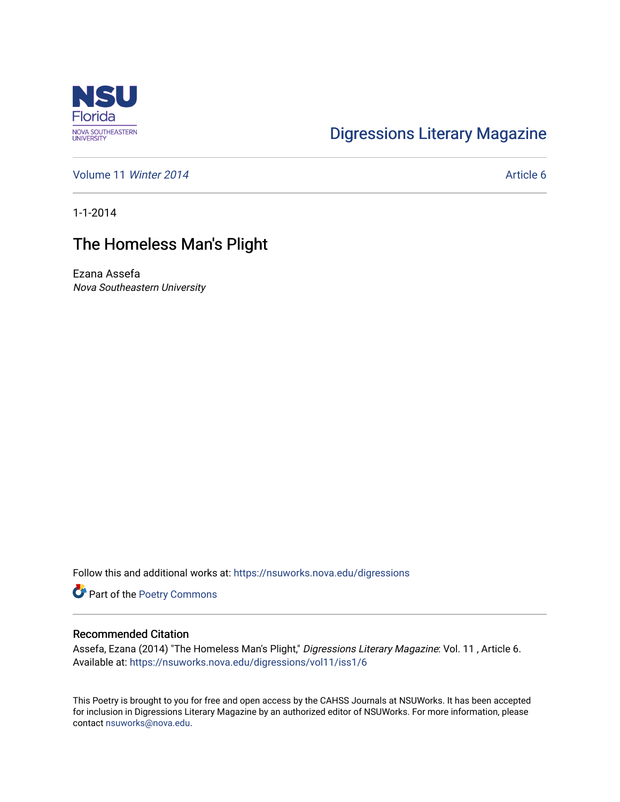

## [Digressions Literary Magazine](https://nsuworks.nova.edu/digressions)

[Volume 11](https://nsuworks.nova.edu/digressions/vol11) Winter 2014 **Article 6** Article 6

1-1-2014

## The Homeless Man's Plight

Ezana Assefa Nova Southeastern University

Follow this and additional works at: [https://nsuworks.nova.edu/digressions](https://nsuworks.nova.edu/digressions?utm_source=nsuworks.nova.edu%2Fdigressions%2Fvol11%2Fiss1%2F6&utm_medium=PDF&utm_campaign=PDFCoverPages) 

Part of the [Poetry Commons](http://network.bepress.com/hgg/discipline/1153?utm_source=nsuworks.nova.edu%2Fdigressions%2Fvol11%2Fiss1%2F6&utm_medium=PDF&utm_campaign=PDFCoverPages) 

## Recommended Citation

Assefa, Ezana (2014) "The Homeless Man's Plight," Digressions Literary Magazine: Vol. 11 , Article 6. Available at: [https://nsuworks.nova.edu/digressions/vol11/iss1/6](https://nsuworks.nova.edu/digressions/vol11/iss1/6?utm_source=nsuworks.nova.edu%2Fdigressions%2Fvol11%2Fiss1%2F6&utm_medium=PDF&utm_campaign=PDFCoverPages) 

This Poetry is brought to you for free and open access by the CAHSS Journals at NSUWorks. It has been accepted for inclusion in Digressions Literary Magazine by an authorized editor of NSUWorks. For more information, please contact [nsuworks@nova.edu.](mailto:nsuworks@nova.edu)